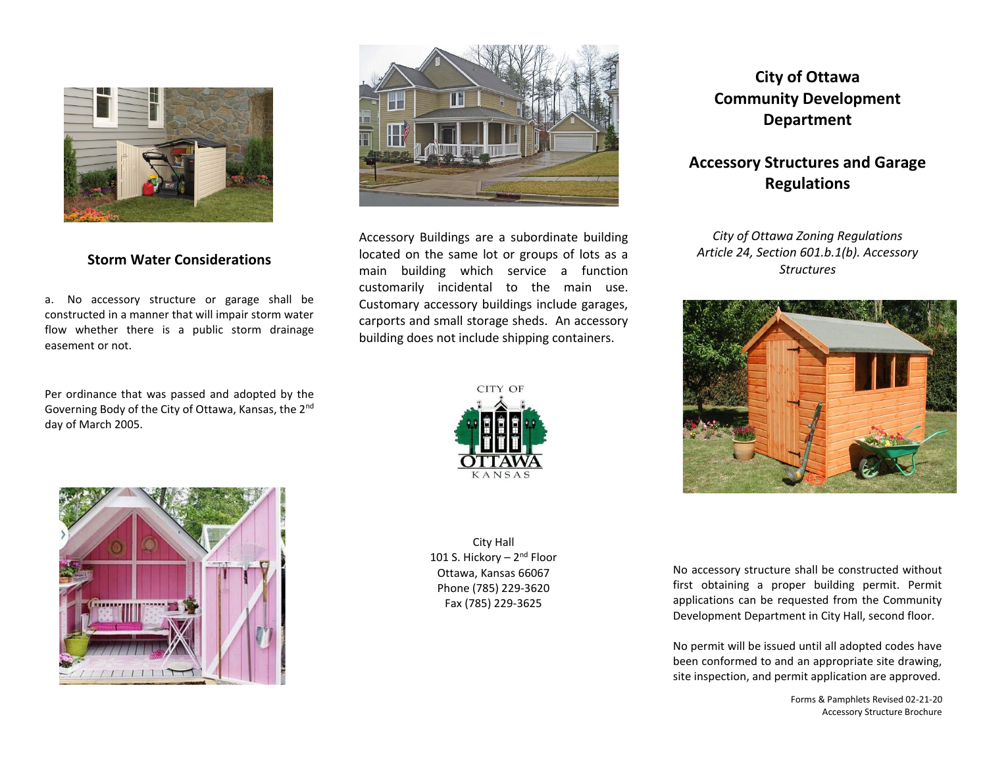

### **Storm Water Considerations**

a. No accessory structure or garage shall be constructed in a manner that will impair storm water flow whether there is a public storm drainage easement or not.

Per ordinance that was passed and adopted by the Governing Body of the City of Ottawa, Kansas, the 2nd day of March 2005.



Accessory Buildings are a subordinate building located on the same lot or groups of lots as a main building which service a function customarily incidental to the main use. Customary accessory buildings include garages, carports and small storage sheds. An accessory building does not include shipping containers.



City Hall 101 S. Hickory – 2<sup>nd</sup> Floor Ottawa, Kansas 66067 Phone (785) 229-3620 Fax (785) 229-3625

**City of Ottawa Community Development Department**

# **Accessory Structures and Garage Regulations**

*City of Ottawa Zoning Regulations Article 24, Section 601.b.1(b). Accessory Structures*





No accessory structure shall be constructed without first obtaining a proper building permit. Permit applications can be requested from the Community Development Department in City Hall, second floor.

No permit will be issued until all adopted codes have been conformed to and an appropriate site drawing, site inspection, and permit application are approved.

> Forms & Pamphlets Revised 02-21-20 Accessory Structure Brochure